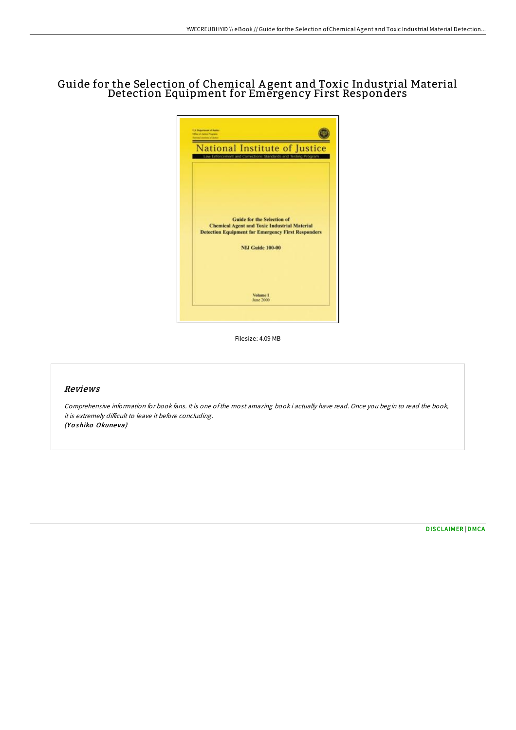# Guide for the Selection of Chemical A gent and Toxic Industrial Material Detection Equipment for Emergency First Responders



Filesize: 4.09 MB

### Reviews

Comprehensive information for book fans. It is one ofthe most amazing book i actually have read. Once you begin to read the book, it is extremely difficult to leave it before concluding. (Yoshiko Okuneva)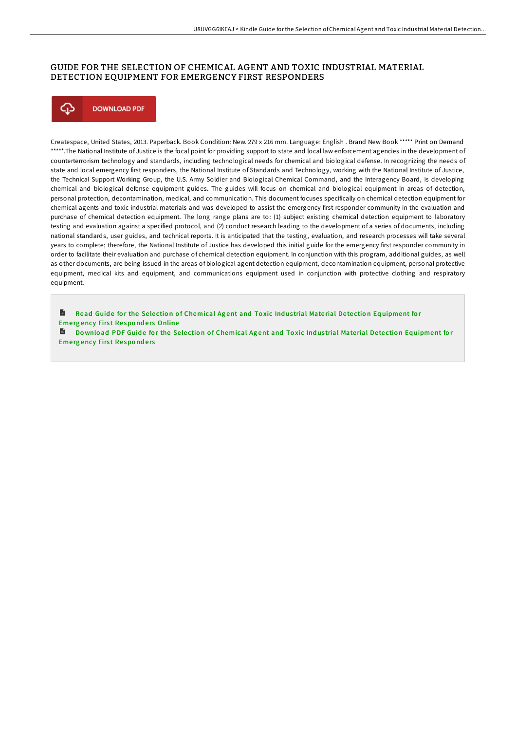## GUIDE FOR THE SELECTION OF CHEMICAL AGENT AND TOXIC INDUSTRIAL MATERIAL DETECTION EQUIPMENT FOR EMERGENCY FIRST RESPONDERS



Createspace, United States, 2013. Paperback. Book Condition: New. 279 x 216 mm. Language: English . Brand New Book \*\*\*\*\* Print on Demand \*\*\*\*\*.The National Institute of Justice is the focal point for providing support to state and local law enforcement agencies in the development of counterterrorism technology and standards, including technological needs for chemical and biological defense. In recognizing the needs of state and local emergency first responders, the National Institute of Standards and Technology, working with the National Institute of Justice, the Technical Support Working Group, the U.S. Army Soldier and Biological Chemical Command, and the Interagency Board, is developing chemical and biological defense equipment guides. The guides will focus on chemical and biological equipment in areas of detection, personal protection, decontamination, medical, and communication. This document focuses specifically on chemical detection equipment for chemical agents and toxic industrial materials and was developed to assist the emergency first responder community in the evaluation and purchase of chemical detection equipment. The long range plans are to: (1) subject existing chemical detection equipment to laboratory testing and evaluation against a specified protocol, and (2) conduct research leading to the development of a series of documents, including national standards, user guides, and technical reports. It is anticipated that the testing, evaluation, and research processes will take several years to complete; therefore, the National Institute of Justice has developed this initial guide for the emergency first responder community in order to facilitate their evaluation and purchase of chemical detection equipment. In conjunction with this program, additional guides, as well as other documents, are being issued in the areas of biological agent detection equipment, decontamination equipment, personal protective equipment, medical kits and equipment, and communications equipment used in conjunction with protective clothing and respiratory equipment.

B Read Guide for the Selection of [Chemical](http://almighty24.tech/guide-for-the-selection-of-chemical-agent-and-to.html) Agent and Toxic Industrial Material Detection Equipment for Emergency First Responders Online

Download PDF Guide for the Selection of [Chemical](http://almighty24.tech/guide-for-the-selection-of-chemical-agent-and-to.html) Agent and Toxic Industrial Material Detection Equipment for **Emergency First Responders**